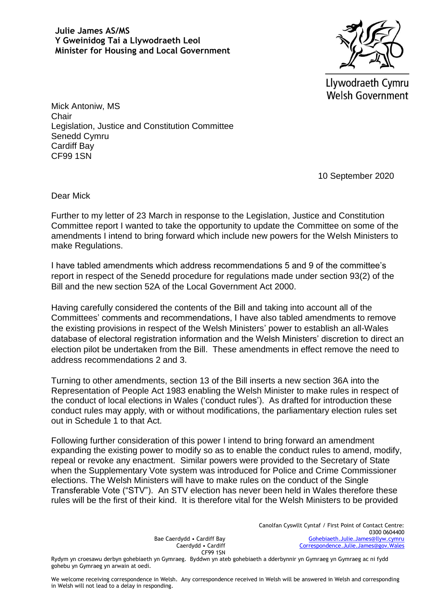

Llywodraeth Cymru **Welsh Government** 

Mick Antoniw, MS Chair Legislation, Justice and Constitution Committee Senedd Cymru Cardiff Bay CF99 1SN

10 September 2020

Dear Mick

Further to my letter of 23 March in response to the Legislation, Justice and Constitution Committee report I wanted to take the opportunity to update the Committee on some of the amendments I intend to bring forward which include new powers for the Welsh Ministers to make Regulations.

I have tabled amendments which address recommendations 5 and 9 of the committee's report in respect of the Senedd procedure for regulations made under section 93(2) of the Bill and the new section 52A of the Local Government Act 2000.

Having carefully considered the contents of the Bill and taking into account all of the Committees' comments and recommendations, I have also tabled amendments to remove the existing provisions in respect of the Welsh Ministers' power to establish an all-Wales database of electoral registration information and the Welsh Ministers' discretion to direct an election pilot be undertaken from the Bill. These amendments in effect remove the need to address recommendations 2 and 3.

Turning to other amendments, section 13 of the Bill inserts a new section 36A into the Representation of People Act 1983 enabling the Welsh Minister to make rules in respect of the conduct of local elections in Wales ('conduct rules'). As drafted for introduction these conduct rules may apply, with or without modifications, the parliamentary election rules set out in Schedule 1 to that Act.

Following further consideration of this power I intend to bring forward an amendment expanding the existing power to modify so as to enable the conduct rules to amend, modify, repeal or revoke any enactment. Similar powers were provided to the Secretary of State when the Supplementary Vote system was introduced for Police and Crime Commissioner elections. The Welsh Ministers will have to make rules on the conduct of the Single Transferable Vote ("STV"). An STV election has never been held in Wales therefore these rules will be the first of their kind. It is therefore vital for the Welsh Ministers to be provided

> Bae Caerdydd • Cardiff Bay Caerdydd • Cardiff CF99 1SN

Canolfan Cyswllt Cyntaf / First Point of Contact Centre: 0300 0604400 [Gohebiaeth.Julie.James@llyw.cymru](mailto:Gohebiaeth.Julie.James@llyw.cymru) [Correspondence.Julie.James@gov.Wales](mailto:Correspondence.Julie.James@gov.Wales)

Rydym yn croesawu derbyn gohebiaeth yn Gymraeg. Byddwn yn ateb gohebiaeth a dderbynnir yn Gymraeg yn Gymraeg ac ni fydd gohebu yn Gymraeg yn arwain at oedi.

We welcome receiving correspondence in Welsh. Any correspondence received in Welsh will be answered in Welsh and corresponding in Welsh will not lead to a delay in responding.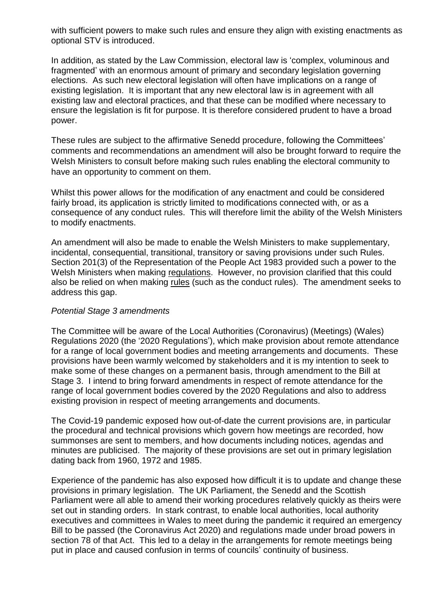with sufficient powers to make such rules and ensure they align with existing enactments as optional STV is introduced.

In addition, as stated by the Law Commission, electoral law is 'complex, voluminous and fragmented' with an enormous amount of primary and secondary legislation governing elections. As such new electoral legislation will often have implications on a range of existing legislation. It is important that any new electoral law is in agreement with all existing law and electoral practices, and that these can be modified where necessary to ensure the legislation is fit for purpose. It is therefore considered prudent to have a broad power.

These rules are subject to the affirmative Senedd procedure, following the Committees' comments and recommendations an amendment will also be brought forward to require the Welsh Ministers to consult before making such rules enabling the electoral community to have an opportunity to comment on them.

Whilst this power allows for the modification of any enactment and could be considered fairly broad, its application is strictly limited to modifications connected with, or as a consequence of any conduct rules. This will therefore limit the ability of the Welsh Ministers to modify enactments.

An amendment will also be made to enable the Welsh Ministers to make supplementary, incidental, consequential, transitional, transitory or saving provisions under such Rules. Section 201(3) of the Representation of the People Act 1983 provided such a power to the Welsh Ministers when making regulations. However, no provision clarified that this could also be relied on when making rules (such as the conduct rules). The amendment seeks to address this gap.

## *Potential Stage 3 amendments*

The Committee will be aware of the Local Authorities (Coronavirus) (Meetings) (Wales) Regulations 2020 (the '2020 Regulations'), which make provision about remote attendance for a range of local government bodies and meeting arrangements and documents. These provisions have been warmly welcomed by stakeholders and it is my intention to seek to make some of these changes on a permanent basis, through amendment to the Bill at Stage 3. I intend to bring forward amendments in respect of remote attendance for the range of local government bodies covered by the 2020 Regulations and also to address existing provision in respect of meeting arrangements and documents.

The Covid-19 pandemic exposed how out-of-date the current provisions are, in particular the procedural and technical provisions which govern how meetings are recorded, how summonses are sent to members, and how documents including notices, agendas and minutes are publicised. The majority of these provisions are set out in primary legislation dating back from 1960, 1972 and 1985.

Experience of the pandemic has also exposed how difficult it is to update and change these provisions in primary legislation. The UK Parliament, the Senedd and the Scottish Parliament were all able to amend their working procedures relatively quickly as theirs were set out in standing orders. In stark contrast, to enable local authorities, local authority executives and committees in Wales to meet during the pandemic it required an emergency Bill to be passed (the Coronavirus Act 2020) and regulations made under broad powers in section 78 of that Act. This led to a delay in the arrangements for remote meetings being put in place and caused confusion in terms of councils' continuity of business.